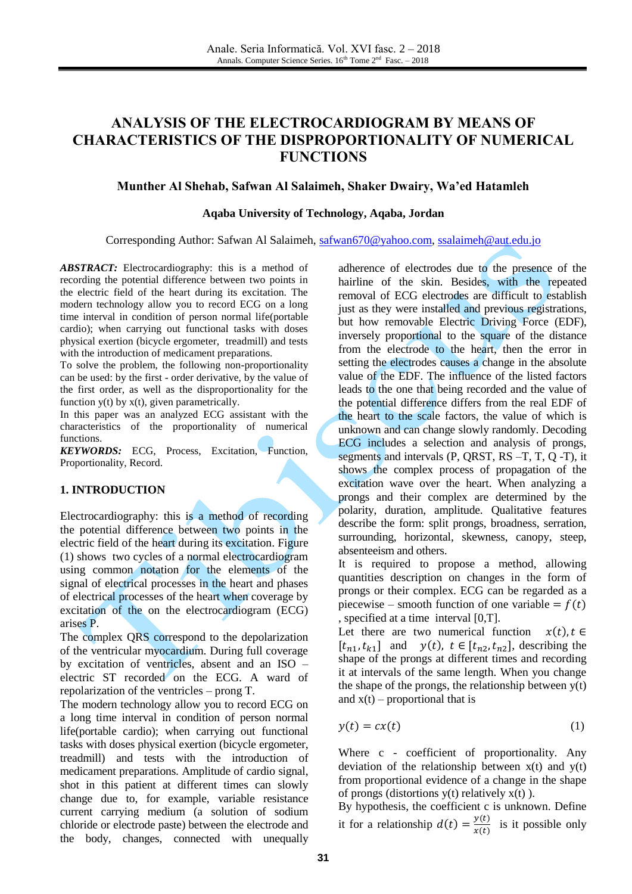# **ANALYSIS OF THE ELECTROCARDIOGRAM BY MEANS OF CHARACTERISTICS OF THE DISPROPORTIONALITY OF NUMERICAL FUNCTIONS**

### **Munther Al Shehab, Safwan Al Salaimeh, Shaker Dwairy, Wa'ed Hatamleh**

#### **Aqaba University of Technology, Aqaba, Jordan**

Corresponding Author: Safwan Al Salaimeh, [safwan670@yahoo.com,](mailto:safwan670@yahoo.com) [ssalaimeh@aut.edu.jo](mailto:ssalaimeh@aut.edu.jo)

*ABSTRACT:* Electrocardiography: this is a method of recording the potential difference between two points in the electric field of the heart during its excitation. The modern technology allow you to record ECG on a long time interval in condition of person normal life(portable cardio); when carrying out functional tasks with doses physical exertion (bicycle ergometer, treadmill) and tests with the introduction of medicament preparations.

To solve the problem, the following non-proportionality can be used: by the first - order derivative, by the value of the first order, as well as the disproportionality for the function  $y(t)$  by  $x(t)$ , given parametrically.

In this paper was an analyzed ECG assistant with the characteristics of the proportionality of numerical functions.

*KEYWORDS:* ECG, Process, Excitation, Function, Proportionality, Record.

#### **1. INTRODUCTION**

Electrocardiography: this is a method of recording the potential difference between two points in the electric field of the heart during its excitation. Figure (1) shows two cycles of a normal electrocardiogram using common notation for the elements of the signal of electrical processes in the heart and phases of electrical processes of the heart when coverage by excitation of the on the electrocardiogram (ECG) arises P.

The complex QRS correspond to the depolarization of the ventricular myocardium. During full coverage by excitation of ventricles, absent and an ISO – electric ST recorded on the ECG. A ward of repolarization of the ventricles – prong T.

The modern technology allow you to record ECG on a long time interval in condition of person normal life(portable cardio); when carrying out functional tasks with doses physical exertion (bicycle ergometer, treadmill) and tests with the introduction of medicament preparations. Amplitude of cardio signal, shot in this patient at different times can slowly change due to, for example, variable resistance current carrying medium (a solution of sodium chloride or electrode paste) between the electrode and the body, changes, connected with unequally adherence of electrodes due to the presence of the hairline of the skin. Besides, with the repeated removal of ECG electrodes are difficult to establish just as they were installed and previous registrations, but how removable Electric Driving Force (EDF), inversely proportional to the square of the distance from the electrode to the heart, then the error in setting the electrodes causes a change in the absolute value of the EDF. The influence of the listed factors leads to the one that being recorded and the value of the potential difference differs from the real EDF of the heart to the scale factors, the value of which is unknown and can change slowly randomly. Decoding ECG includes a selection and analysis of prongs, segments and intervals (P, QRST, RS –T, T, Q -T), it shows the complex process of propagation of the excitation wave over the heart. When analyzing a prongs and their complex are determined by the polarity, duration, amplitude. Qualitative features describe the form: split prongs, broadness, serration, surrounding, horizontal, skewness, canopy, steep, absenteeism and others.

It is required to propose a method, allowing quantities description on changes in the form of prongs or their complex. ECG can be regarded as a piecewise – smooth function of one variable  $= f(t)$ , specified at a time interval [0,T].

Let there are two numerical function  $x(t)$ ,  $t \in$  $[t_{n1}, t_{k1}]$  and  $y(t)$ ,  $t \in [t_{n2}, t_{n2}]$ , describing the shape of the prongs at different times and recording it at intervals of the same length. When you change the shape of the prongs, the relationship between  $y(t)$ and  $x(t)$  – proportional that is

$$
y(t) = cx(t) \tag{1}
$$

Where c - coefficient of proportionality. Any deviation of the relationship between  $x(t)$  and  $y(t)$ from proportional evidence of a change in the shape of prongs (distortions  $y(t)$  relatively  $x(t)$ ).

By hypothesis, the coefficient c is unknown. Define it for a relationship  $d(t) = \frac{y}{x}$  $\frac{y(t)}{x(t)}$  is it possible only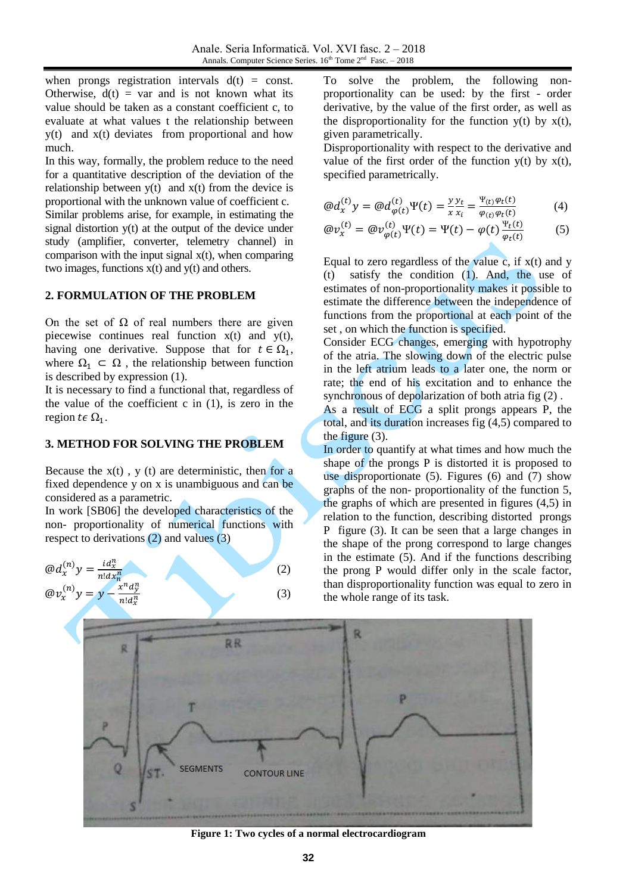when prongs registration intervals  $d(t) = const.$ Otherwise,  $d(t) = var$  and is not known what its value should be taken as a constant coefficient c, to evaluate at what values t the relationship between y(t) and x(t) deviates from proportional and how much.

In this way, formally, the problem reduce to the need for a quantitative description of the deviation of the relationship between  $y(t)$  and  $x(t)$  from the device is proportional with the unknown value of coefficient c. Similar problems arise, for example, in estimating the signal distortion y(t) at the output of the device under study (amplifier, converter, telemetry channel) in comparison with the input signal  $x(t)$ , when comparing two images, functions  $x(t)$  and  $y(t)$  and others.

# **2. FORMULATION OF THE PROBLEM**

On the set of  $\Omega$  of real numbers there are given piecewise continues real function x(t) and y(t), having one derivative. Suppose that for  $t \in \Omega_1$ , where  $\Omega_1 \subset \Omega$ , the relationship between function is described by expression (1).

It is necessary to find a functional that, regardless of the value of the coefficient  $c$  in  $(1)$ , is zero in the region  $t \in \Omega_1$ .

### **3. METHOD FOR SOLVING THE PROBLEM**

Because the  $x(t)$ ,  $y(t)$  are deterministic, then for a fixed dependence y on x is unambiguous and can be considered as a parametric.

In work [SB06] the developed characteristics of the non- proportionality of numerical functions with respect to derivations (2) and values (3)

$$
\begin{aligned}\n\textcircled{a}d_x^{(n)}y &= \frac{id_x^n}{n!dx_n^n} \\
\textcircled{a}v_x^{(n)}y &= y - \frac{x^n d_y^n}{n!d_x^n}\n\end{aligned}\n\tag{2}
$$

To solve the problem, the following nonproportionality can be used: by the first - order derivative, by the value of the first order, as well as the disproportionality for the function  $y(t)$  by  $x(t)$ , given parametrically.

Disproportionality with respect to the derivative and value of the first order of the function  $y(t)$  by  $x(t)$ , specified parametrically.

$$
\textcircled{a}d_{x}^{(t)}y = \textcircled{a}d_{\varphi(t)}^{(t)}\Psi(t) = \frac{y}{x}\frac{y_{t}}{x_{i}} = \frac{\Psi_{(t)}\varphi_{t}(t)}{\varphi_{(t)}\varphi_{t}(t)}\tag{4}
$$

$$
\textcircled{a}v_x^{(t)} = \textcircled{a}v_{\varphi(t)}^{(t)}\Psi(t) = \Psi(t) - \varphi(t)\frac{\Psi_t(t)}{\varphi_t(t)}\tag{5}
$$

Equal to zero regardless of the value c, if  $x(t)$  and y (t) satisfy the condition (1). And, the use of estimates of non-proportionality makes it possible to estimate the difference between the independence of functions from the proportional at each point of the set , on which the function is specified.

Consider ECG changes, emerging with hypotrophy of the atria. The slowing down of the electric pulse in the left atrium leads to a later one, the norm or rate; the end of his excitation and to enhance the synchronous of depolarization of both atria fig (2).

As a result of ECG a split prongs appears P, the total, and its duration increases fig (4,5) compared to the figure (3).

In order to quantify at what times and how much the shape of the prongs P is distorted it is proposed to use disproportionate (5). Figures (6) and (7) show graphs of the non- proportionality of the function 5, the graphs of which are presented in figures (4,5) in relation to the function, describing distorted prongs P figure (3). It can be seen that a large changes in the shape of the prong correspond to large changes in the estimate (5). And if the functions describing the prong P would differ only in the scale factor, than disproportionality function was equal to zero in the whole range of its task.



**Figure 1: Two cycles of a normal electrocardiogram**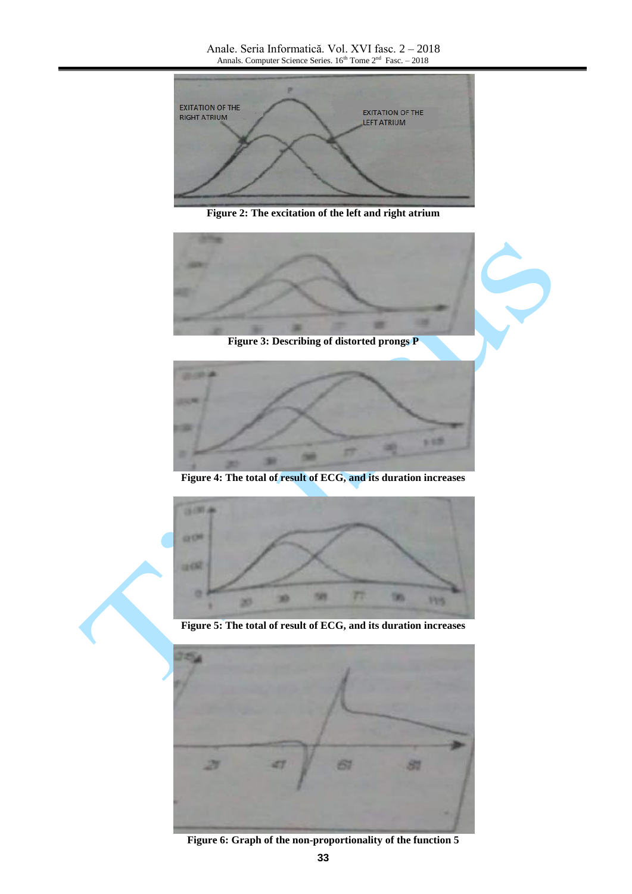

**Figure 2: The excitation of the left and right atrium**





**Figure 4: The total of result of ECG, and its duration increases**



**Figure 5: The total of result of ECG, and its duration increases**



**Figure 6: Graph of the non-proportionality of the function 5**